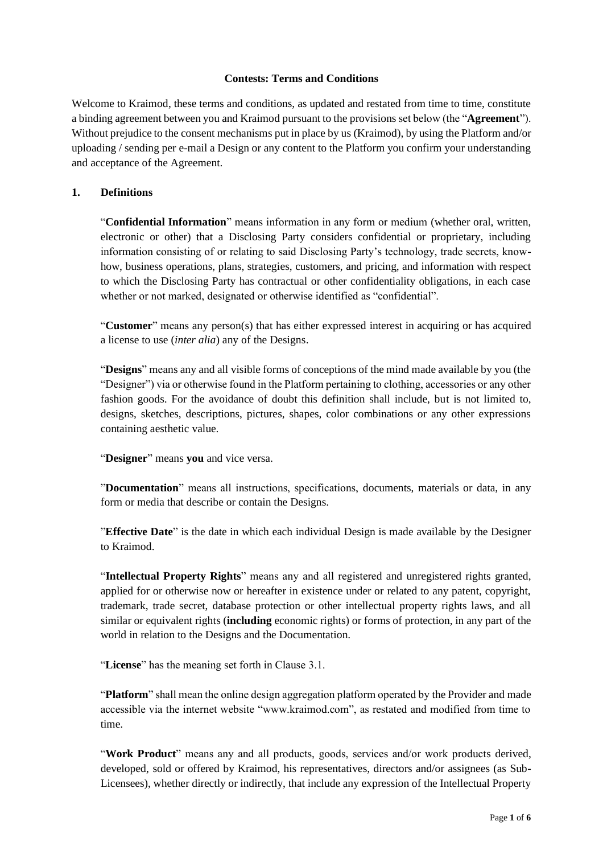### **Contests: Terms and Conditions**

Welcome to Kraimod, these terms and conditions, as updated and restated from time to time, constitute a binding agreement between you and Kraimod pursuant to the provisions set below (the "**Agreement**"). Without prejudice to the consent mechanisms put in place by us (Kraimod), by using the Platform and/or uploading / sending per e-mail a Design or any content to the Platform you confirm your understanding and acceptance of the Agreement.

### **1. Definitions**

"**Confidential Information**" means information in any form or medium (whether oral, written, electronic or other) that a Disclosing Party considers confidential or proprietary, including information consisting of or relating to said Disclosing Party's technology, trade secrets, knowhow, business operations, plans, strategies, customers, and pricing, and information with respect to which the Disclosing Party has contractual or other confidentiality obligations, in each case whether or not marked, designated or otherwise identified as "confidential".

"**Customer**" means any person(s) that has either expressed interest in acquiring or has acquired a license to use (*inter alia*) any of the Designs.

"**Designs**" means any and all visible forms of conceptions of the mind made available by you (the "Designer") via or otherwise found in the Platform pertaining to clothing, accessories or any other fashion goods. For the avoidance of doubt this definition shall include, but is not limited to, designs, sketches, descriptions, pictures, shapes, color combinations or any other expressions containing aesthetic value.

"**Designer**" means **you** and vice versa.

"**Documentation**" means all instructions, specifications, documents, materials or data, in any form or media that describe or contain the Designs.

"**Effective Date**" is the date in which each individual Design is made available by the Designer to Kraimod.

"**Intellectual Property Rights**" means any and all registered and unregistered rights granted, applied for or otherwise now or hereafter in existence under or related to any patent, copyright, trademark, trade secret, database protection or other intellectual property rights laws, and all similar or equivalent rights (**including** economic rights) or forms of protection, in any part of the world in relation to the Designs and the Documentation.

"**License**" has the meaning set forth in Clause 3.1.

"**Platform**" shall mean the online design aggregation platform operated by the Provider and made accessible via the internet website "www.kraimod.com", as restated and modified from time to time.

"**Work Product**" means any and all products, goods, services and/or work products derived, developed, sold or offered by Kraimod, his representatives, directors and/or assignees (as Sub-Licensees), whether directly or indirectly, that include any expression of the Intellectual Property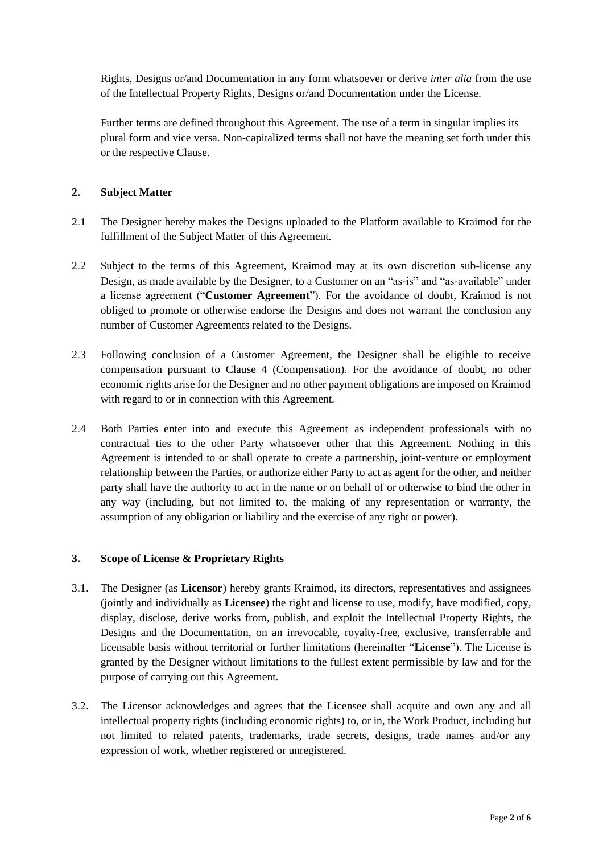Rights, Designs or/and Documentation in any form whatsoever or derive *inter alia* from the use of the Intellectual Property Rights, Designs or/and Documentation under the License.

Further terms are defined throughout this Agreement. The use of a term in singular implies its plural form and vice versa. Non-capitalized terms shall not have the meaning set forth under this or the respective Clause.

## **2. Subject Matter**

- 2.1 The Designer hereby makes the Designs uploaded to the Platform available to Kraimod for the fulfillment of the Subject Matter of this Agreement.
- 2.2 Subject to the terms of this Agreement, Kraimod may at its own discretion sub-license any Design, as made available by the Designer, to a Customer on an "as-is" and "as-available" under a license agreement ("**Customer Agreement**"). For the avoidance of doubt, Kraimod is not obliged to promote or otherwise endorse the Designs and does not warrant the conclusion any number of Customer Agreements related to the Designs.
- 2.3 Following conclusion of a Customer Agreement, the Designer shall be eligible to receive compensation pursuant to Clause 4 (Compensation). For the avoidance of doubt, no other economic rights arise for the Designer and no other payment obligations are imposed on Kraimod with regard to or in connection with this Agreement.
- 2.4 Both Parties enter into and execute this Agreement as independent professionals with no contractual ties to the other Party whatsoever other that this Agreement. Nothing in this Agreement is intended to or shall operate to create a partnership, joint-venture or employment relationship between the Parties, or authorize either Party to act as agent for the other, and neither party shall have the authority to act in the name or on behalf of or otherwise to bind the other in any way (including, but not limited to, the making of any representation or warranty, the assumption of any obligation or liability and the exercise of any right or power).

#### **3. Scope of License & Proprietary Rights**

- 3.1. The Designer (as **Licensor**) hereby grants Kraimod, its directors, representatives and assignees (jointly and individually as **Licensee**) the right and license to use, modify, have modified, copy, display, disclose, derive works from, publish, and exploit the Intellectual Property Rights, the Designs and the Documentation, on an irrevocable, royalty-free, exclusive, transferrable and licensable basis without territorial or further limitations (hereinafter "**License**"). The License is granted by the Designer without limitations to the fullest extent permissible by law and for the purpose of carrying out this Agreement.
- 3.2. The Licensor acknowledges and agrees that the Licensee shall acquire and own any and all intellectual property rights (including economic rights) to, or in, the Work Product, including but not limited to related patents, trademarks, trade secrets, designs, trade names and/or any expression of work, whether registered or unregistered.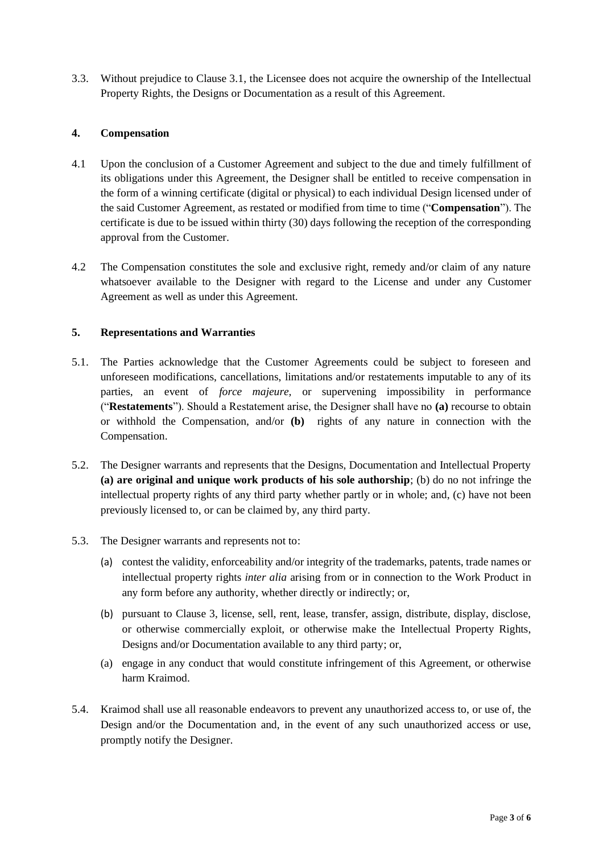3.3. Without prejudice to Clause 3.1, the Licensee does not acquire the ownership of the Intellectual Property Rights, the Designs or Documentation as a result of this Agreement.

# **4. Compensation**

- 4.1 Upon the conclusion of a Customer Agreement and subject to the due and timely fulfillment of its obligations under this Agreement, the Designer shall be entitled to receive compensation in the form of a winning certificate (digital or physical) to each individual Design licensed under of the said Customer Agreement, as restated or modified from time to time ("**Compensation**"). The certificate is due to be issued within thirty (30) days following the reception of the corresponding approval from the Customer.
- 4.2 The Compensation constitutes the sole and exclusive right, remedy and/or claim of any nature whatsoever available to the Designer with regard to the License and under any Customer Agreement as well as under this Agreement.

### **5. Representations and Warranties**

- 5.1. The Parties acknowledge that the Customer Agreements could be subject to foreseen and unforeseen modifications, cancellations, limitations and/or restatements imputable to any of its parties, an event of *force majeure,* or supervening impossibility in performance ("**Restatements**"). Should a Restatement arise, the Designer shall have no **(a)** recourse to obtain or withhold the Compensation, and/or **(b)** rights of any nature in connection with the Compensation.
- 5.2. The Designer warrants and represents that the Designs, Documentation and Intellectual Property **(a) are original and unique work products of his sole authorship**; (b) do no not infringe the intellectual property rights of any third party whether partly or in whole; and, (c) have not been previously licensed to, or can be claimed by, any third party.
- 5.3. The Designer warrants and represents not to:
	- (a) contest the validity, enforceability and/or integrity of the trademarks, patents, trade names or intellectual property rights *inter alia* arising from or in connection to the Work Product in any form before any authority, whether directly or indirectly; or,
	- (b) pursuant to Clause 3, license, sell, rent, lease, transfer, assign, distribute, display, disclose, or otherwise commercially exploit, or otherwise make the Intellectual Property Rights, Designs and/or Documentation available to any third party; or,
	- (a) engage in any conduct that would constitute infringement of this Agreement, or otherwise harm Kraimod.
- 5.4. Kraimod shall use all reasonable endeavors to prevent any unauthorized access to, or use of, the Design and/or the Documentation and, in the event of any such unauthorized access or use, promptly notify the Designer.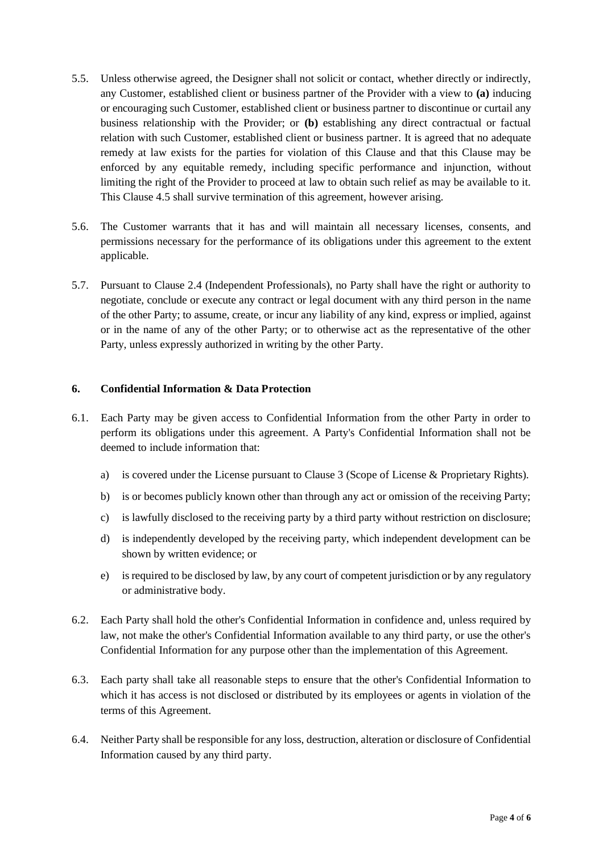- 5.5. Unless otherwise agreed, the Designer shall not solicit or contact, whether directly or indirectly, any Customer, established client or business partner of the Provider with a view to **(a)** inducing or encouraging such Customer, established client or business partner to discontinue or curtail any business relationship with the Provider; or **(b)** establishing any direct contractual or factual relation with such Customer, established client or business partner. It is agreed that no adequate remedy at law exists for the parties for violation of this Clause and that this Clause may be enforced by any equitable remedy, including specific performance and injunction, without limiting the right of the Provider to proceed at law to obtain such relief as may be available to it. This Clause 4.5 shall survive termination of this agreement, however arising.
- 5.6. The Customer warrants that it has and will maintain all necessary licenses, consents, and permissions necessary for the performance of its obligations under this agreement to the extent applicable.
- 5.7. Pursuant to Clause 2.4 (Independent Professionals), no Party shall have the right or authority to negotiate, conclude or execute any contract or legal document with any third person in the name of the other Party; to assume, create, or incur any liability of any kind, express or implied, against or in the name of any of the other Party; or to otherwise act as the representative of the other Party, unless expressly authorized in writing by the other Party.

### **6. Confidential Information & Data Protection**

- 6.1. Each Party may be given access to Confidential Information from the other Party in order to perform its obligations under this agreement. A Party's Confidential Information shall not be deemed to include information that:
	- a) is covered under the License pursuant to Clause 3 (Scope of License & Proprietary Rights).
	- b) is or becomes publicly known other than through any act or omission of the receiving Party;
	- c) is lawfully disclosed to the receiving party by a third party without restriction on disclosure;
	- d) is independently developed by the receiving party, which independent development can be shown by written evidence; or
	- e) is required to be disclosed by law, by any court of competent jurisdiction or by any regulatory or administrative body.
- 6.2. Each Party shall hold the other's Confidential Information in confidence and, unless required by law, not make the other's Confidential Information available to any third party, or use the other's Confidential Information for any purpose other than the implementation of this Agreement.
- 6.3. Each party shall take all reasonable steps to ensure that the other's Confidential Information to which it has access is not disclosed or distributed by its employees or agents in violation of the terms of this Agreement.
- 6.4. Neither Party shall be responsible for any loss, destruction, alteration or disclosure of Confidential Information caused by any third party.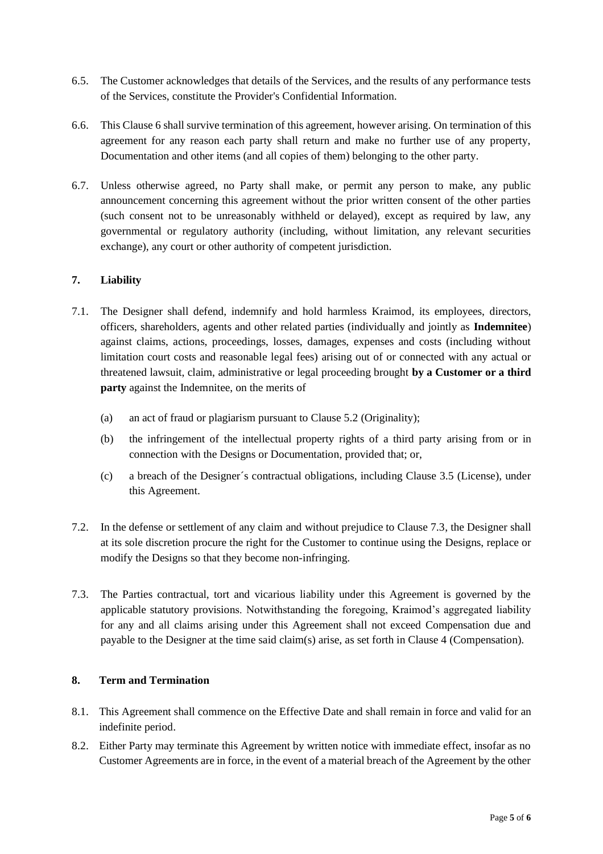- 6.5. The Customer acknowledges that details of the Services, and the results of any performance tests of the Services, constitute the Provider's Confidential Information.
- 6.6. This Clause 6 shall survive termination of this agreement, however arising. On termination of this agreement for any reason each party shall return and make no further use of any property, Documentation and other items (and all copies of them) belonging to the other party.
- 6.7. Unless otherwise agreed, no Party shall make, or permit any person to make, any public announcement concerning this agreement without the prior written consent of the other parties (such consent not to be unreasonably withheld or delayed), except as required by law, any governmental or regulatory authority (including, without limitation, any relevant securities exchange), any court or other authority of competent jurisdiction.

# **7. Liability**

- 7.1. The Designer shall defend, indemnify and hold harmless Kraimod, its employees, directors, officers, shareholders, agents and other related parties (individually and jointly as **Indemnitee**) against claims, actions, proceedings, losses, damages, expenses and costs (including without limitation court costs and reasonable legal fees) arising out of or connected with any actual or threatened lawsuit, claim, administrative or legal proceeding brought **by a Customer or a third party** against the Indemnitee, on the merits of
	- (a) an act of fraud or plagiarism pursuant to Clause 5.2 (Originality);
	- (b) the infringement of the intellectual property rights of a third party arising from or in connection with the Designs or Documentation, provided that; or,
	- (c) a breach of the Designer´s contractual obligations, including Clause 3.5 (License), under this Agreement.
- 7.2. In the defense or settlement of any claim and without prejudice to Clause 7.3, the Designer shall at its sole discretion procure the right for the Customer to continue using the Designs, replace or modify the Designs so that they become non-infringing.
- 7.3. The Parties contractual, tort and vicarious liability under this Agreement is governed by the applicable statutory provisions. Notwithstanding the foregoing, Kraimod's aggregated liability for any and all claims arising under this Agreement shall not exceed Compensation due and payable to the Designer at the time said claim(s) arise, as set forth in Clause 4 (Compensation).

#### **8. Term and Termination**

- 8.1. This Agreement shall commence on the Effective Date and shall remain in force and valid for an indefinite period.
- 8.2. Either Party may terminate this Agreement by written notice with immediate effect, insofar as no Customer Agreements are in force, in the event of a material breach of the Agreement by the other